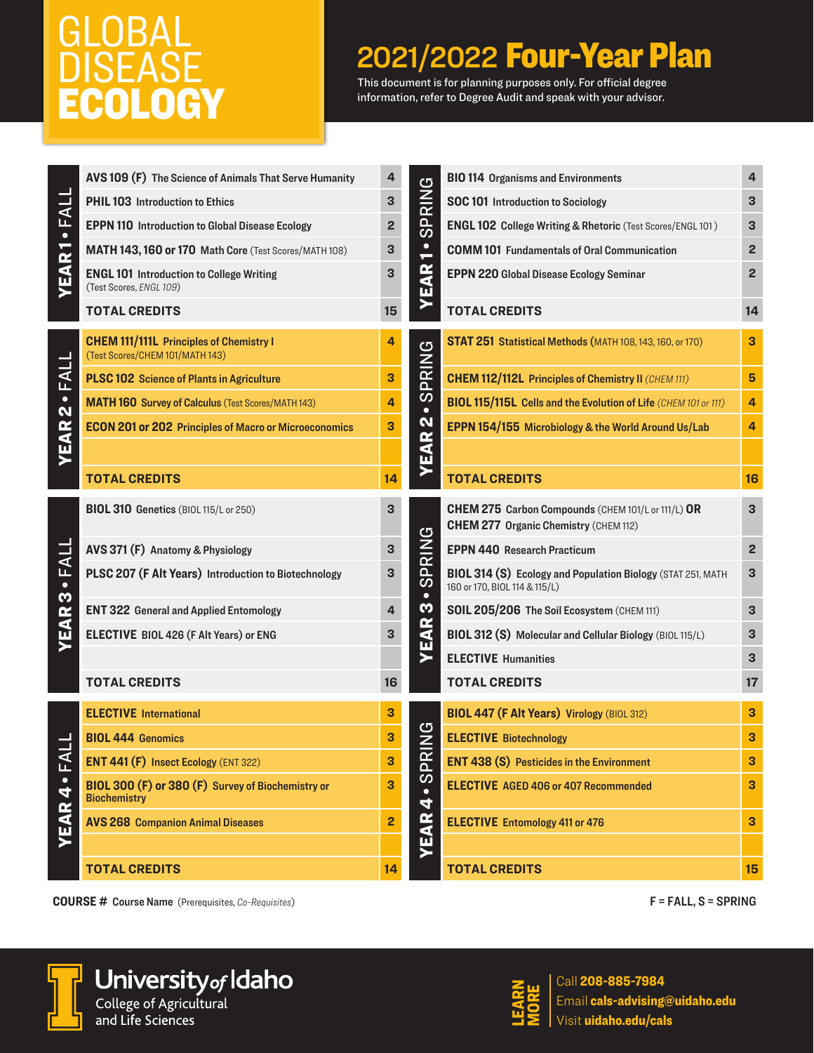## GLOBAL DISEASE ECOLOGY

## 2021/2022 Four-Year Plan

This document is for planning purposes only. For official degree information, refer to Degree Audit and speak with your advisor.

| FALL                    | AVS 109 (F) The Science of Animals That Serve Humanity                            | 4                       | <u>්</u><br>$\frac{\overline{z}}{\overline{z}}$ | <b>BIO 114 Organisms and Environments</b>                                                           | 4                       |
|-------------------------|-----------------------------------------------------------------------------------|-------------------------|-------------------------------------------------|-----------------------------------------------------------------------------------------------------|-------------------------|
|                         | PHIL 103 Introduction to Ethics                                                   | 3                       |                                                 | SOC 101 Introduction to Sociology                                                                   | 3                       |
| $\bullet$               | <b>EPPN 110</b> Introduction to Global Disease Ecology                            | 2                       | <u>ලි</u>                                       | <b>ENGL 102 College Writing &amp; Rhetoric (Test Scores/ENGL 101)</b>                               | 3                       |
|                         | MATH 143, 160 or 170 Math Core (Test Scores/MATH 108)                             | 3                       | $\bullet$                                       | <b>COMM 101 Fundamentals of Oral Communication</b>                                                  | 2                       |
| <b>YEAR1</b>            | <b>ENGL 101 Introduction to College Writing</b><br>(Test Scores, ENGL 109)        | 3                       | œ<br>$\overline{\mathbf{A}}$                    | EPPN 220 Global Disease Ecology Seminar                                                             | $\overline{2}$          |
|                         | <b>TOTAL CREDITS</b>                                                              | 15                      |                                                 | <b>TOTAL CREDITS</b>                                                                                | 14                      |
|                         | <b>CHEM 111/111L</b> Principles of Chemistry I<br>(Test Scores/CHEM 101/MATH 143) | 4                       | PRING                                           | STAT 251 Statistical Methods (MATH 108, 143, 160, or 170)                                           | 3                       |
| FALL                    | <b>PLSC 102</b> Science of Plants in Agriculture                                  | 3                       |                                                 | <b>CHEM 112/112L Principles of Chemistry II (CHEM 111)</b>                                          | 5                       |
| $\mathbf{\dot{2}}$      | <b>MATH 160 Survey of Calculus (Test Scores/MATH 143)</b>                         | 4                       | $\boldsymbol{\omega}$<br>$\bullet$              | <b>BIOL 115/115L Cells and the Evolution of Life (CHEM 101 or 111)</b>                              | 4                       |
|                         | <b>ECON 201 or 202 Principles of Macro or Microeconomics</b>                      | 3                       | N                                               | EPPN 154/155 Microbiology & the World Around Us/Lab                                                 | 4                       |
| YEAR                    |                                                                                   |                         | EAR                                             |                                                                                                     |                         |
|                         | <b>TOTAL CREDITS</b>                                                              | 14                      |                                                 | <b>TOTAL CREDITS</b>                                                                                | 16                      |
| $\bullet$ FALI<br>M     | BIOL 310 Genetics (BIOL 115/L or 250)                                             | 3                       | PRING<br>$\boldsymbol{\omega}$<br>$\bullet$     | CHEM 275 Carbon Compounds (CHEM 101/L or 111/L) OR<br><b>CHEM 277 Organic Chemistry (CHEM 112)</b>  | 3                       |
|                         | AVS 371 (F) Anatomy & Physiology                                                  | 3                       |                                                 | <b>EPPN 440 Research Practicum</b>                                                                  | $\overline{\mathbf{c}}$ |
|                         | PLSC 207 (F Alt Years) Introduction to Biotechnology                              | 3                       |                                                 | <b>BIOL 314 (S) Ecology and Population Biology</b> (STAT 251, MATH<br>160 or 170, BIOL 114 & 115/L) | 3                       |
|                         | <b>ENT 322 General and Applied Entomology</b>                                     | 4                       | S                                               | SOIL 205/206 The Soil Ecosystem (CHEM 111)                                                          | 3                       |
| YEAR                    | ELECTIVE BIOL 426 (F Alt Years) or ENG                                            | 3                       | EAR                                             | BIOL 312 (S) Molecular and Cellular Biology (BIOL 115/L)                                            | 3                       |
|                         |                                                                                   |                         |                                                 | <b>ELECTIVE Humanities</b>                                                                          | 3                       |
|                         | <b>TOTAL CREDITS</b>                                                              | 16                      |                                                 | <b>TOTAL CREDITS</b>                                                                                | 17                      |
|                         | <b>ELECTIVE International</b>                                                     | 3                       |                                                 | BIOL 447 (F Alt Years) Virology (BIOL 312)                                                          | 3                       |
| L<br>⊡<br>$\frac{1}{4}$ | <b>BIOL 444 Genomics</b>                                                          | 3                       | <u>ပ</u><br>2<br>뚠<br>ၯ<br>4                    | <b>ELECTIVE Biotechnology</b>                                                                       | 3                       |
|                         | <b>ENT 441 (F) Insect Ecology (ENT 322)</b>                                       | 3                       |                                                 | <b>ENT 438 (S)</b> Pesticides in the Environment                                                    | 3                       |
|                         | BIOL 300 (F) or 380 (F) Survey of Biochemistry or<br><b>Biochemistry</b>          | 3                       |                                                 | <b>ELECTIVE</b> AGED 406 or 407 Recommended                                                         | 3                       |
| YEAR                    | <b>AVS 268 Companion Animal Diseases</b>                                          | $\overline{\mathbf{c}}$ |                                                 | <b>ELECTIVE</b> Entomology 411 or 476                                                               | 3                       |
|                         |                                                                                   |                         | YEAR                                            |                                                                                                     |                         |
|                         | <b>TOTAL CREDITS</b>                                                              | 14                      |                                                 | <b>TOTAL CREDITS</b>                                                                                | 15                      |
|                         |                                                                                   |                         |                                                 |                                                                                                     |                         |

**COURSE #** Course Name (Prerequisites, *Co-Requisites*) F = FALL, S = SPRING



### University of Idaho and Life Sciences



 $\mathbf{Z}_{\mathbf{G}}$   $\left\{ \begin{array}{l} \mathsf{Call}} \mathsf{208\text{-}885\text{-}7984} \ \mathsf{Email} \mathsf{cals}\text{-}\mathsf{advising} \ \mathsf{U}\mathsf{S} \end{array} \right.$   $\mathsf{Visit}\mathsf{uidaho.edu/cal}$ Email cals-advising@uidaho.edu Visit uidaho.edu/cals